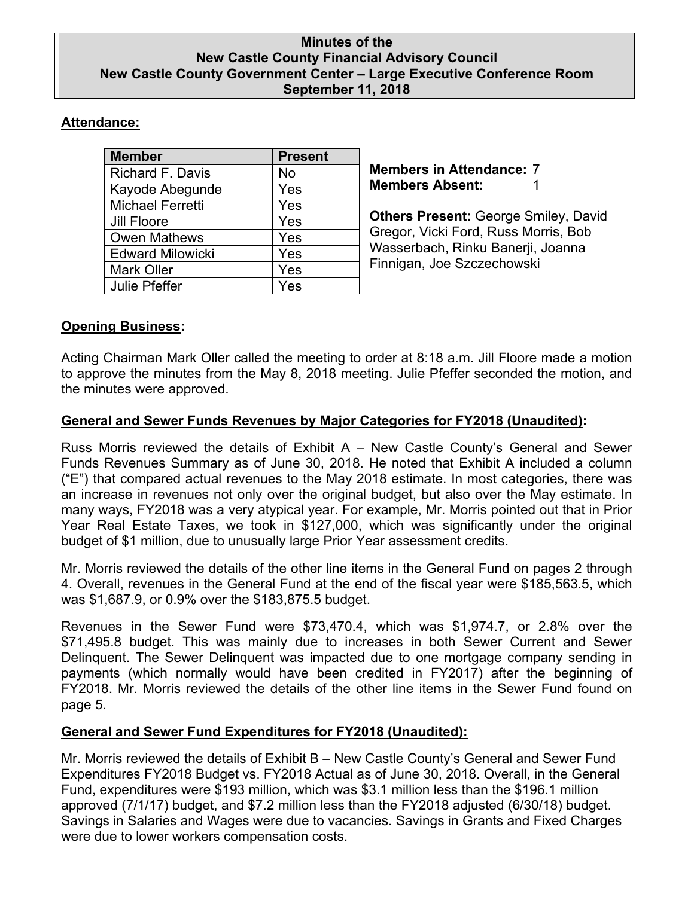## **Minutes of the New Castle County Financial Advisory Council New Castle County Government Center – Large Executive Conference Room September 11, 2018**

# **Attendance:**

| <b>Member</b>           | <b>Present</b> |
|-------------------------|----------------|
| Richard F. Davis        | <b>No</b>      |
| Kayode Abegunde         | Yes            |
| <b>Michael Ferretti</b> | Yes            |
| <b>Jill Floore</b>      | Yes            |
| <b>Owen Mathews</b>     | Yes            |
| <b>Edward Milowicki</b> | Yes            |
| <b>Mark Oller</b>       | Yes            |
| <b>Julie Pfeffer</b>    | Yes            |

**Members in Attendance:** 7 **Members Absent:** 1

**Others Present:** George Smiley, David Gregor, Vicki Ford, Russ Morris, Bob Wasserbach, Rinku Banerji, Joanna Finnigan, Joe Szczechowski

# **Opening Business:**

Acting Chairman Mark Oller called the meeting to order at 8:18 a.m. Jill Floore made a motion to approve the minutes from the May 8, 2018 meeting. Julie Pfeffer seconded the motion, and the minutes were approved.

## **General and Sewer Funds Revenues by Major Categories for FY2018 (Unaudited):**

Russ Morris reviewed the details of Exhibit A – New Castle County's General and Sewer Funds Revenues Summary as of June 30, 2018. He noted that Exhibit A included a column ("E") that compared actual revenues to the May 2018 estimate. In most categories, there was an increase in revenues not only over the original budget, but also over the May estimate. In many ways, FY2018 was a very atypical year. For example, Mr. Morris pointed out that in Prior Year Real Estate Taxes, we took in \$127,000, which was significantly under the original budget of \$1 million, due to unusually large Prior Year assessment credits.

Mr. Morris reviewed the details of the other line items in the General Fund on pages 2 through 4. Overall, revenues in the General Fund at the end of the fiscal year were \$185,563.5, which was \$1,687.9, or 0.9% over the \$183,875.5 budget.

Revenues in the Sewer Fund were \$73,470.4, which was \$1,974.7, or 2.8% over the \$71,495.8 budget. This was mainly due to increases in both Sewer Current and Sewer Delinquent. The Sewer Delinquent was impacted due to one mortgage company sending in payments (which normally would have been credited in FY2017) after the beginning of FY2018. Mr. Morris reviewed the details of the other line items in the Sewer Fund found on page 5.

# **General and Sewer Fund Expenditures for FY2018 (Unaudited):**

Mr. Morris reviewed the details of Exhibit B – New Castle County's General and Sewer Fund Expenditures FY2018 Budget vs. FY2018 Actual as of June 30, 2018. Overall, in the General Fund, expenditures were \$193 million, which was \$3.1 million less than the \$196.1 million approved (7/1/17) budget, and \$7.2 million less than the FY2018 adjusted (6/30/18) budget. Savings in Salaries and Wages were due to vacancies. Savings in Grants and Fixed Charges were due to lower workers compensation costs.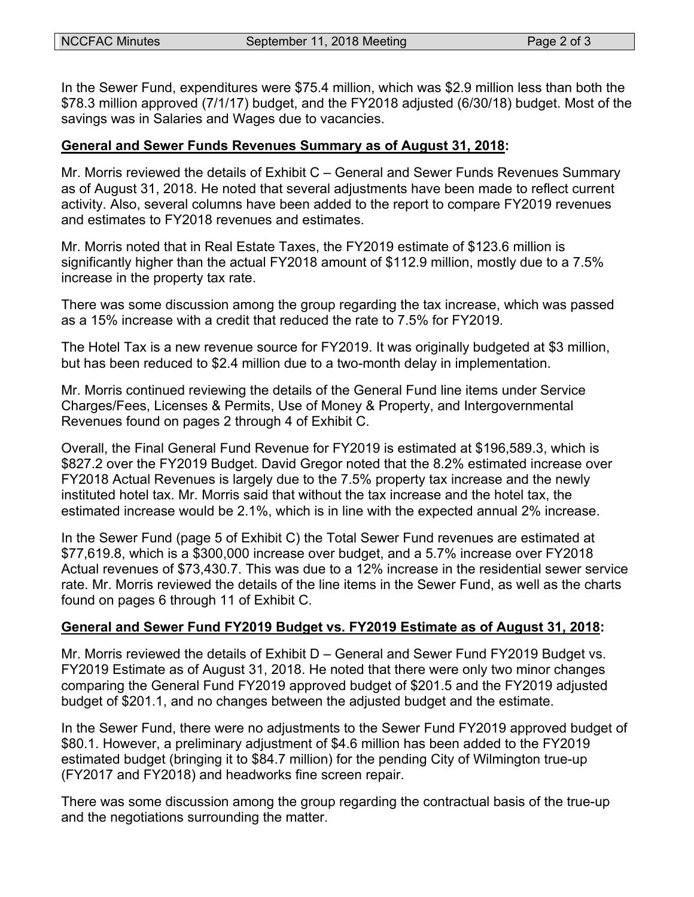In the Sewer Fund, expenditures were \$75.4 million, which was \$2.9 million less than both the \$78.3 million approved (7/1/17) budget, and the FY2018 adjusted (6/30/18) budget. Most of the savings was in Salaries and Wages due to vacancies.

#### **General and Sewer Funds Revenues Summary as of August 31, 2018:**

Mr. Morris reviewed the details of Exhibit C – General and Sewer Funds Revenues Summary as of August 31, 2018. He noted that several adjustments have been made to reflect current activity. Also, several columns have been added to the report to compare FY2019 revenues and estimates to FY2018 revenues and estimates.

Mr. Morris noted that in Real Estate Taxes, the FY2019 estimate of \$123.6 million is significantly higher than the actual FY2018 amount of \$112.9 million, mostly due to a 7.5% increase in the property tax rate.

There was some discussion among the group regarding the tax increase, which was passed as a 15% increase with a credit that reduced the rate to 7.5% for FY2019.

The Hotel Tax is a new revenue source for FY2019. It was originally budgeted at \$3 million, but has been reduced to \$2.4 million due to a two-month delay in implementation.

Mr. Morris continued reviewing the details of the General Fund line items under Service Charges/Fees, Licenses & Permits, Use of Money & Property, and Intergovernmental Revenues found on pages 2 through 4 of Exhibit C.

Overall, the Final General Fund Revenue for FY2019 is estimated at \$196,589.3, which is \$827.2 over the FY2019 Budget. David Gregor noted that the 8.2% estimated increase over FY2018 Actual Revenues is largely due to the 7.5% property tax increase and the newly instituted hotel tax. Mr. Morris said that without the tax increase and the hotel tax, the estimated increase would be 2.1%, which is in line with the expected annual 2% increase.

In the Sewer Fund (page 5 of Exhibit C) the Total Sewer Fund revenues are estimated at \$77,619.8, which is a \$300,000 increase over budget, and a 5.7% increase over FY2018 Actual revenues of \$73,430.7. This was due to a 12% increase in the residential sewer service rate. Mr. Morris reviewed the details of the line items in the Sewer Fund, as well as the charts found on pages 6 through 11 of Exhibit C.

#### **General and Sewer Fund FY2019 Budget vs. FY2019 Estimate as of August 31, 2018:**

Mr. Morris reviewed the details of Exhibit D – General and Sewer Fund FY2019 Budget vs. FY2019 Estimate as of August 31, 2018. He noted that there were only two minor changes comparing the General Fund FY2019 approved budget of \$201.5 and the FY2019 adjusted budget of \$201.1, and no changes between the adjusted budget and the estimate.

In the Sewer Fund, there were no adjustments to the Sewer Fund FY2019 approved budget of \$80.1. However, a preliminary adjustment of \$4.6 million has been added to the FY2019 estimated budget (bringing it to \$84.7 million) for the pending City of Wilmington true-up (FY2017 and FY2018) and headworks fine screen repair.

There was some discussion among the group regarding the contractual basis of the true-up and the negotiations surrounding the matter.